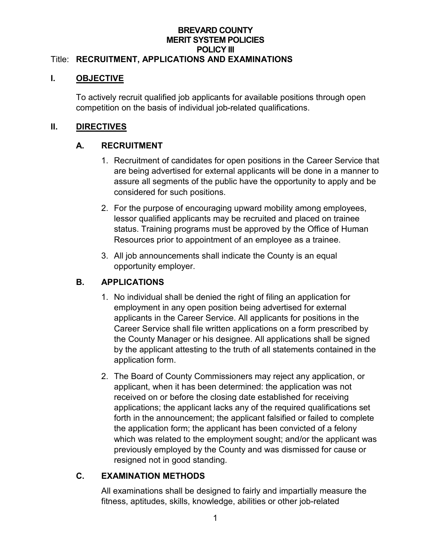#### **BREVARD COUNTY MERIT SYSTEM POLICIES POLICY III** Title: **RECRUITMENT, APPLICATIONS AND EXAMINATIONS**

#### **I. OBJECTIVE**

To actively recruit qualified job applicants for available positions through open competition on the basis of individual job-related qualifications.

### **II. DIRECTIVES**

# **A. RECRUITMENT**

- 1. Recruitment of candidates for open positions in the Career Service that are being advertised for external applicants will be done in a manner to assure all segments of the public have the opportunity to apply and be considered for such positions.
- 2. For the purpose of encouraging upward mobility among employees, lessor qualified applicants may be recruited and placed on trainee status. Training programs must be approved by the Office of Human Resources prior to appointment of an employee as a trainee.
- 3. All job announcements shall indicate the County is an equal opportunity employer.

### **B. APPLICATIONS**

- 1. No individual shall be denied the right of filing an application for employment in any open position being advertised for external applicants in the Career Service. All applicants for positions in the Career Service shall file written applications on a form prescribed by the County Manager or his designee. All applications shall be signed by the applicant attesting to the truth of all statements contained in the application form.
- 2. The Board of County Commissioners may reject any application, or applicant, when it has been determined: the application was not received on or before the closing date established for receiving applications; the applicant lacks any of the required qualifications set forth in the announcement; the applicant falsified or failed to complete the application form; the applicant has been convicted of a felony which was related to the employment sought; and/or the applicant was previously employed by the County and was dismissed for cause or resigned not in good standing.

# **C. EXAMINATION METHODS**

All examinations shall be designed to fairly and impartially measure the fitness, aptitudes, skills, knowledge, abilities or other job-related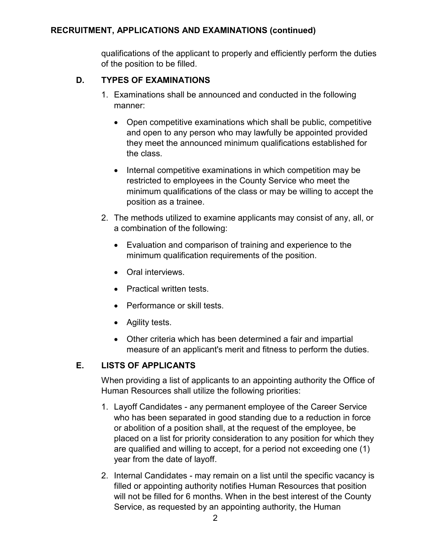## **RECRUITMENT, APPLICATIONS AND EXAMINATIONS (continued)**

qualifications of the applicant to properly and efficiently perform the duties of the position to be filled.

## **D. TYPES OF EXAMINATIONS**

- 1. Examinations shall be announced and conducted in the following manner:
	- Open competitive examinations which shall be public, competitive and open to any person who may lawfully be appointed provided they meet the announced minimum qualifications established for the class.
	- Internal competitive examinations in which competition may be restricted to employees in the County Service who meet the minimum qualifications of the class or may be willing to accept the position as a trainee.
- 2. The methods utilized to examine applicants may consist of any, all, or a combination of the following:
	- Evaluation and comparison of training and experience to the minimum qualification requirements of the position.
	- Oral interviews.
	- Practical written tests
	- Performance or skill tests.
	- Agility tests.
	- Other criteria which has been determined a fair and impartial measure of an applicant's merit and fitness to perform the duties.

# **E. LISTS OF APPLICANTS**

When providing a list of applicants to an appointing authority the Office of Human Resources shall utilize the following priorities:

- 1. Layoff Candidates any permanent employee of the Career Service who has been separated in good standing due to a reduction in force or abolition of a position shall, at the request of the employee, be placed on a list for priority consideration to any position for which they are qualified and willing to accept, for a period not exceeding one (1) year from the date of layoff.
- 2. Internal Candidates may remain on a list until the specific vacancy is filled or appointing authority notifies Human Resources that position will not be filled for 6 months. When in the best interest of the County Service, as requested by an appointing authority, the Human